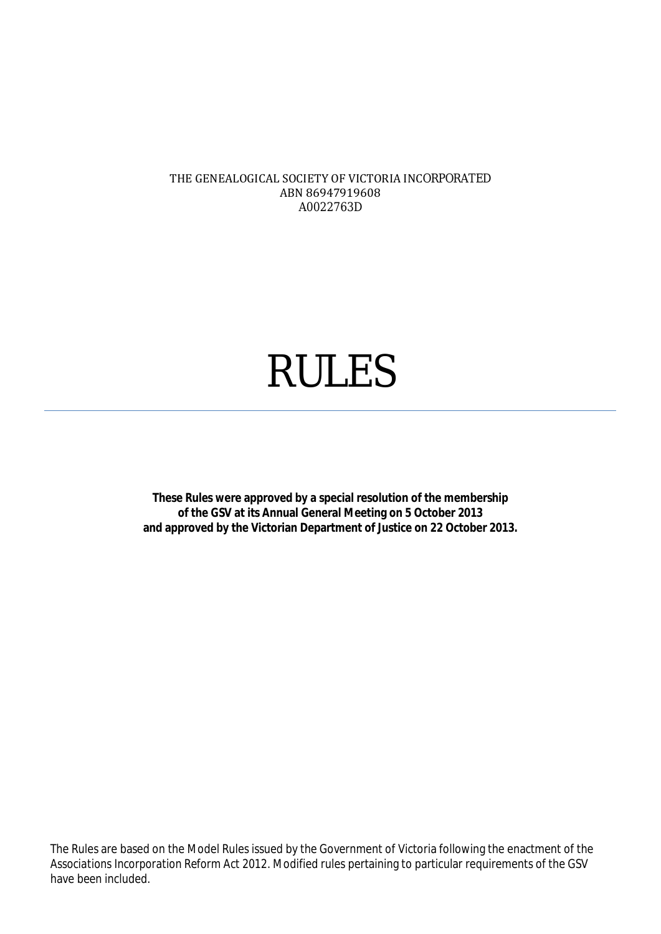#### THE GENEALOGICAL SOCIETY OF VICTORIA INCORPORATED ABN 86947919608 A0022763D

# RULES

**These Rules were approved by a special resolution of the membership of the GSV at its Annual General Meeting on 5 October 2013 and approved by the Victorian Department of Justice on 22 October 2013.**

The Rules are based on the Model Rules issued by the Government of Victoria following the enactment of the *Associations Incorporation Reform Act 2012*. Modified rules pertaining to particular requirements of the GSV have been included.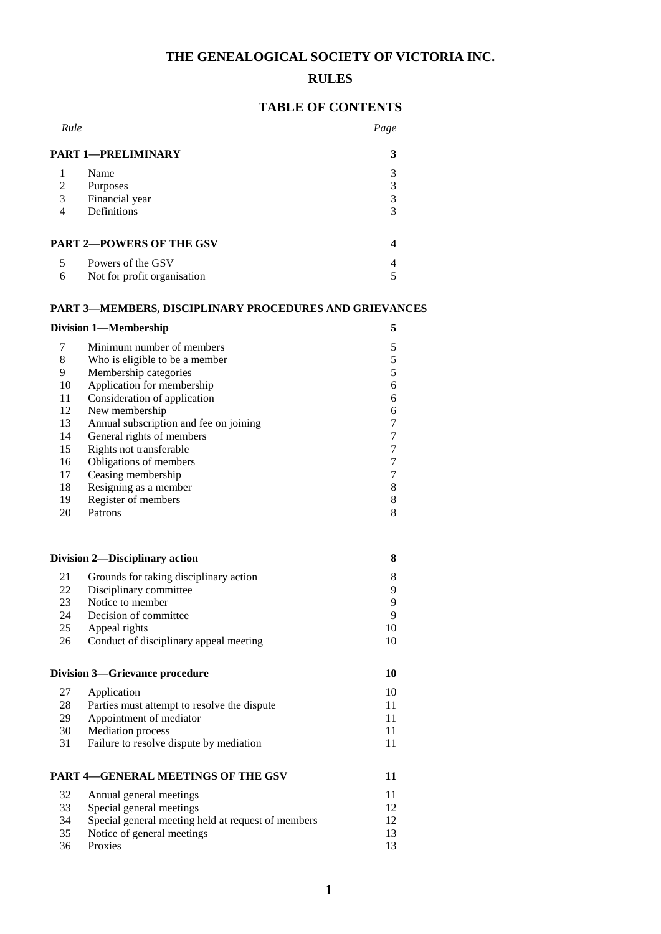# **THE GENEALOGICAL SOCIETY OF VICTORIA INC.**

# **RULES**

# **TABLE OF CONTENTS**

| Rule                                  |                                                               | Page |
|---------------------------------------|---------------------------------------------------------------|------|
|                                       | <b>PART 1-PRELIMINARY</b>                                     | 3    |
| 1                                     | Name                                                          | 3    |
| $\mathfrak{2}$                        | Purposes                                                      | 3    |
| 3                                     | Financial year                                                | 3    |
| $\overline{4}$                        | Definitions                                                   | 3    |
|                                       | <b>PART 2-POWERS OF THE GSV</b>                               | 4    |
| 5                                     | Powers of the GSV                                             | 4    |
| 6                                     | Not for profit organisation                                   | 5    |
|                                       | <b>PART 3-MEMBERS, DISCIPLINARY PROCEDURES AND GRIEVANCES</b> |      |
|                                       | <b>Division 1-Membership</b>                                  | 5    |
| 7                                     | Minimum number of members                                     | 5    |
| 8                                     | Who is eligible to be a member                                | 5    |
| 9                                     | Membership categories                                         | 5    |
| 10                                    | Application for membership                                    | 6    |
| 11                                    | Consideration of application                                  | 6    |
| 12                                    | New membership                                                | 6    |
| 13                                    | Annual subscription and fee on joining                        | 7    |
| 14                                    | General rights of members                                     | 7    |
| 15                                    | Rights not transferable                                       | 7    |
| 16                                    | Obligations of members                                        | 7    |
| 17                                    | Ceasing membership                                            | 7    |
| 18                                    | Resigning as a member                                         | 8    |
| 19                                    | Register of members                                           | 8    |
| 20                                    | Patrons                                                       | 8    |
|                                       | <b>Division 2-Disciplinary action</b>                         | 8    |
| 21                                    | Grounds for taking disciplinary action                        | 8    |
| 22                                    | Disciplinary committee                                        | 9    |
| 23                                    | Notice to member                                              | 9    |
| 24                                    | Decision of committee                                         | 9    |
| 25                                    | Appeal rights                                                 | 10   |
| 26                                    | Conduct of disciplinary appeal meeting                        | 10   |
| <b>Division 3-Grievance procedure</b> |                                                               | 10   |
| 27                                    | Application                                                   | 10   |
| 28                                    | Parties must attempt to resolve the dispute                   | 11   |
| 29                                    | Appointment of mediator                                       | 11   |
| 30                                    | <b>Mediation</b> process                                      | 11   |
| 31                                    | Failure to resolve dispute by mediation                       | 11   |

# **PART 4—GENERAL MEETINGS OF THE GSV 11**

| 32 | Annual general meetings                            |    |
|----|----------------------------------------------------|----|
| 33 | Special general meetings                           | 12 |
| 34 | Special general meeting held at request of members | 12 |
| 35 | Notice of general meetings.                        | 13 |
| 36 | <b>Proxies</b>                                     | 13 |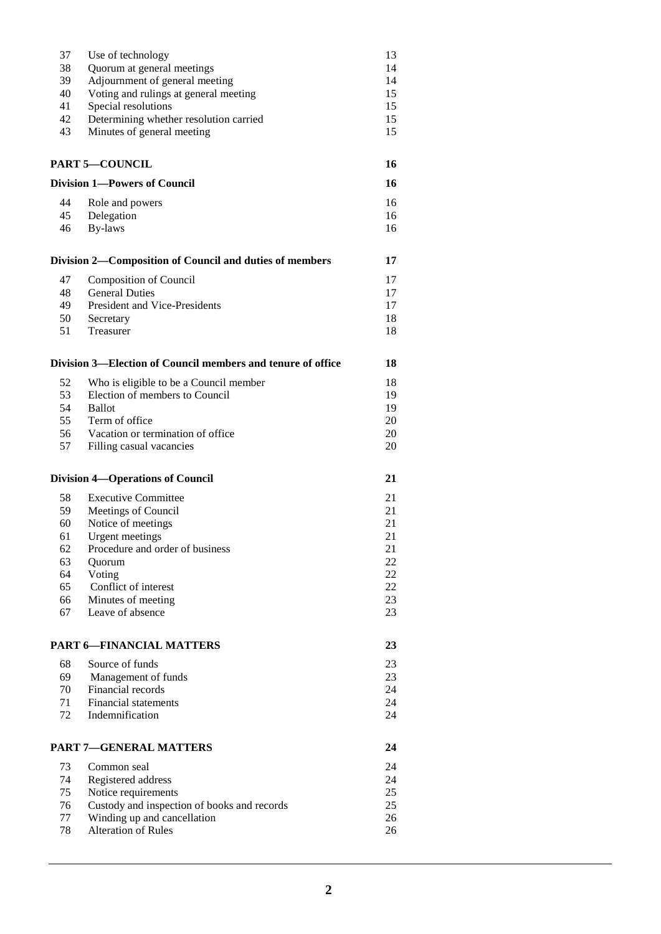| 37       | Use of technology                                           | 13       |
|----------|-------------------------------------------------------------|----------|
| 38       | Quorum at general meetings                                  | 14       |
| 39       | Adjournment of general meeting                              | 14       |
|          |                                                             |          |
| 40       | Voting and rulings at general meeting                       | 15       |
| 41       | Special resolutions                                         | 15       |
| 42       | Determining whether resolution carried                      | 15       |
| 43       | Minutes of general meeting                                  | 15       |
|          |                                                             |          |
|          | <b>PART 5-COUNCIL</b>                                       | 16       |
|          | <b>Division 1-Powers of Council</b>                         | 16       |
| 44       |                                                             | 16       |
|          | Role and powers                                             |          |
| 45       | Delegation                                                  | 16       |
| 46       | By-laws                                                     | 16       |
|          | Division 2—Composition of Council and duties of members     | 17       |
| 47       | <b>Composition of Council</b>                               | 17       |
|          |                                                             |          |
| 48       | <b>General Duties</b>                                       | 17       |
| 49       | President and Vice-Presidents                               | 17       |
| 50       | Secretary                                                   | 18       |
| 51       | Treasurer                                                   | 18       |
|          | Division 3—Election of Council members and tenure of office | 18       |
|          |                                                             |          |
| 52       | Who is eligible to be a Council member                      | 18       |
| 53       | Election of members to Council                              | 19       |
| 54       | <b>Ballot</b>                                               | 19       |
| 55       | Term of office                                              | 20       |
| 56       | Vacation or termination of office                           | 20       |
|          |                                                             |          |
| 57       | Filling casual vacancies                                    | 20       |
|          | <b>Division 4-Operations of Council</b>                     | 21       |
| 58       | <b>Executive Committee</b>                                  | 21       |
| 59       | Meetings of Council                                         | 21       |
|          |                                                             |          |
| 60       | Notice of meetings                                          | 21       |
| 61       | <b>Urgent</b> meetings                                      | 21       |
| 62       | Procedure and order of business                             | 21       |
| 63       | Quorum                                                      | 22       |
| 64       |                                                             | 22       |
|          | Voting                                                      |          |
| 65       | Conflict of interest                                        | 22       |
| 66       | Minutes of meeting                                          | 23       |
| 67       | Leave of absence                                            | 23       |
|          | <b>PART 6-FINANCIAL MATTERS</b>                             | 23       |
|          |                                                             |          |
| 68       | Source of funds                                             | 23       |
| 69       | Management of funds                                         | 23       |
| 70       | Financial records                                           | 24       |
|          |                                                             |          |
| 71       | <b>Financial statements</b>                                 | 24       |
| 72       | Indemnification                                             | 24       |
|          | <b>PART 7-GENERAL MATTERS</b>                               | 24       |
| 73       | Common seal                                                 | 24       |
|          |                                                             |          |
| 74       | Registered address                                          | 24       |
|          |                                                             |          |
| 75       | Notice requirements                                         | 25       |
| 76       |                                                             | 25       |
|          | Custody and inspection of books and records                 |          |
| 77<br>78 | Winding up and cancellation<br><b>Alteration of Rules</b>   | 26<br>26 |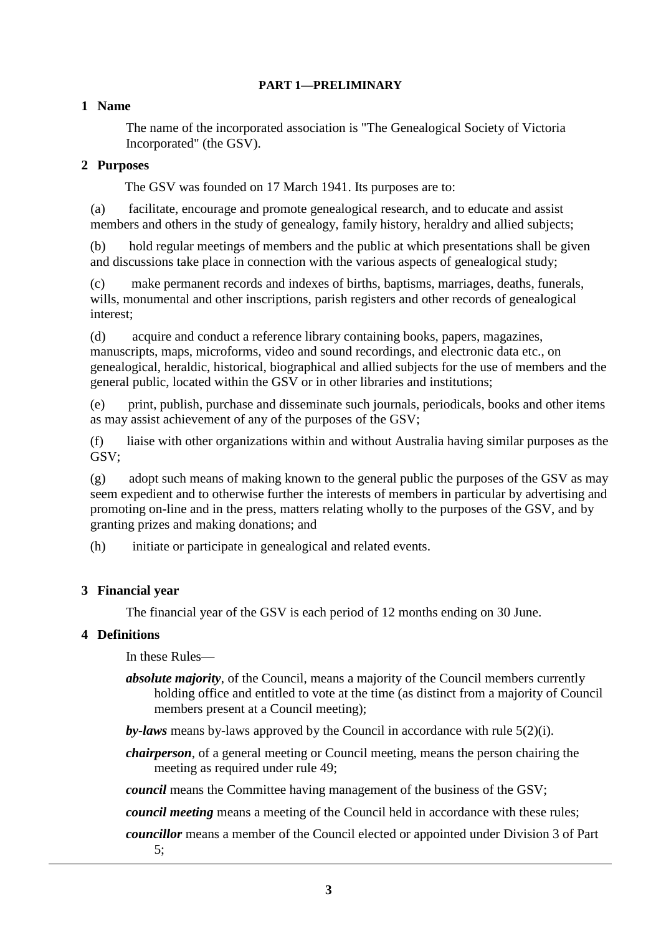#### **PART 1—PRELIMINARY**

# **1 Name**

The name of the incorporated association is "The Genealogical Society of Victoria Incorporated" (the GSV).

# **2 Purposes**

The GSV was founded on 17 March 1941. Its purposes are to:

(a) facilitate, encourage and promote genealogical research, and to educate and assist members and others in the study of genealogy, family history, heraldry and allied subjects;

(b) hold regular meetings of members and the public at which presentations shall be given and discussions take place in connection with the various aspects of genealogical study;

(c) make permanent records and indexes of births, baptisms, marriages, deaths, funerals, wills, monumental and other inscriptions, parish registers and other records of genealogical interest;

(d) acquire and conduct a reference library containing books, papers, magazines, manuscripts, maps, microforms, video and sound recordings, and electronic data etc., on genealogical, heraldic, historical, biographical and allied subjects for the use of members and the general public, located within the GSV or in other libraries and institutions;

(e) print, publish, purchase and disseminate such journals, periodicals, books and other items as may assist achievement of any of the purposes of the GSV;

(f) liaise with other organizations within and without Australia having similar purposes as the GSV;

(g) adopt such means of making known to the general public the purposes of the GSV as may seem expedient and to otherwise further the interests of members in particular by advertising and promoting on-line and in the press, matters relating wholly to the purposes of the GSV, and by granting prizes and making donations; and

(h) initiate or participate in genealogical and related events.

# **3 Financial year**

The financial year of the GSV is each period of 12 months ending on 30 June.

# **4 Definitions**

In these Rules—

*absolute majority*, of the Council, means a majority of the Council members currently holding office and entitled to vote at the time (as distinct from a majority of Council members present at a Council meeting);

*by-laws* means by-laws approved by the Council in accordance with rule 5(2)(i).

*chairperson*, of a general meeting or Council meeting, means the person chairing the meeting as required under rule 49;

*council* means the Committee having management of the business of the GSV;

*council meeting* means a meeting of the Council held in accordance with these rules;

*councillor* means a member of the Council elected or appointed under Division 3 of Part 5;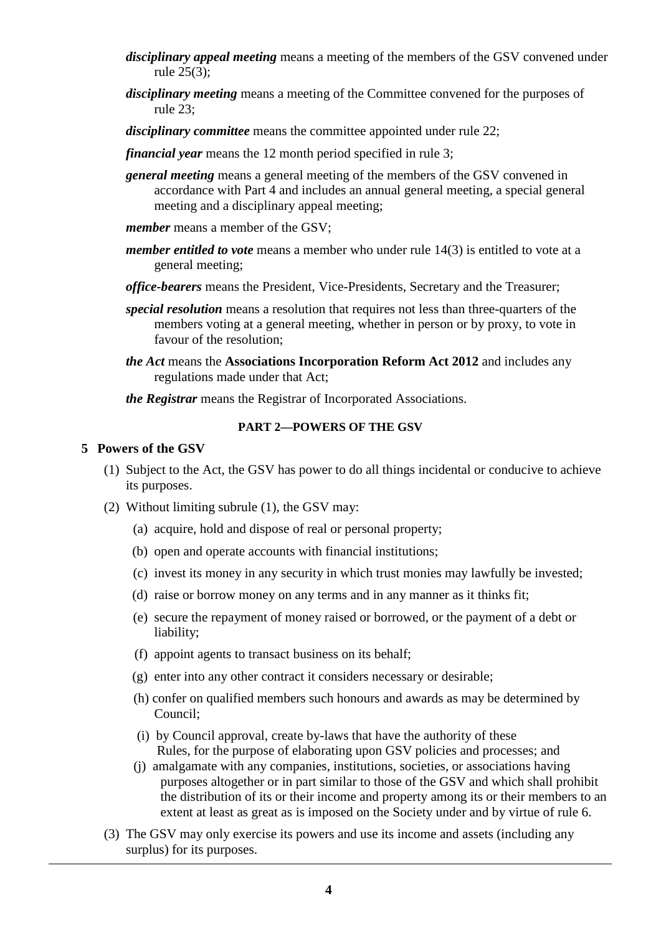- *disciplinary appeal meeting* means a meeting of the members of the GSV convened under rule 25(3);
- *disciplinary meeting* means a meeting of the Committee convened for the purposes of rule 23;
- *disciplinary committee* means the committee appointed under rule 22;
- *financial year* means the 12 month period specified in rule 3;
- *general meeting* means a general meeting of the members of the GSV convened in accordance with Part 4 and includes an annual general meeting, a special general meeting and a disciplinary appeal meeting;
- *member* means a member of the GSV:
- *member entitled to vote* means a member who under rule 14(3) is entitled to vote at a general meeting;
- *office-bearers* means the President, Vice-Presidents, Secretary and the Treasurer;
- *special resolution* means a resolution that requires not less than three-quarters of the members voting at a general meeting, whether in person or by proxy, to vote in favour of the resolution;
- *the Act* means the **Associations Incorporation Reform Act 2012** and includes any regulations made under that Act;
- *the Registrar* means the Registrar of Incorporated Associations.

#### **PART 2—POWERS OF THE GSV**

#### **5 Powers of the GSV**

- (1) Subject to the Act, the GSV has power to do all things incidental or conducive to achieve its purposes.
- (2) Without limiting subrule (1), the GSV may:
	- (a) acquire, hold and dispose of real or personal property;
	- (b) open and operate accounts with financial institutions;
	- (c) invest its money in any security in which trust monies may lawfully be invested;
	- (d) raise or borrow money on any terms and in any manner as it thinks fit;
	- (e) secure the repayment of money raised or borrowed, or the payment of a debt or liability;
	- (f) appoint agents to transact business on its behalf;
	- (g) enter into any other contract it considers necessary or desirable;
	- (h) confer on qualified members such honours and awards as may be determined by Council;
	- (i) by Council approval, create by-laws that have the authority of these Rules, for the purpose of elaborating upon GSV policies and processes; and
	- (j) amalgamate with any companies, institutions, societies, or associations having purposes altogether or in part similar to those of the GSV and which shall prohibit the distribution of its or their income and property among its or their members to an extent at least as great as is imposed on the Society under and by virtue of rule 6.
- (3) The GSV may only exercise its powers and use its income and assets (including any surplus) for its purposes.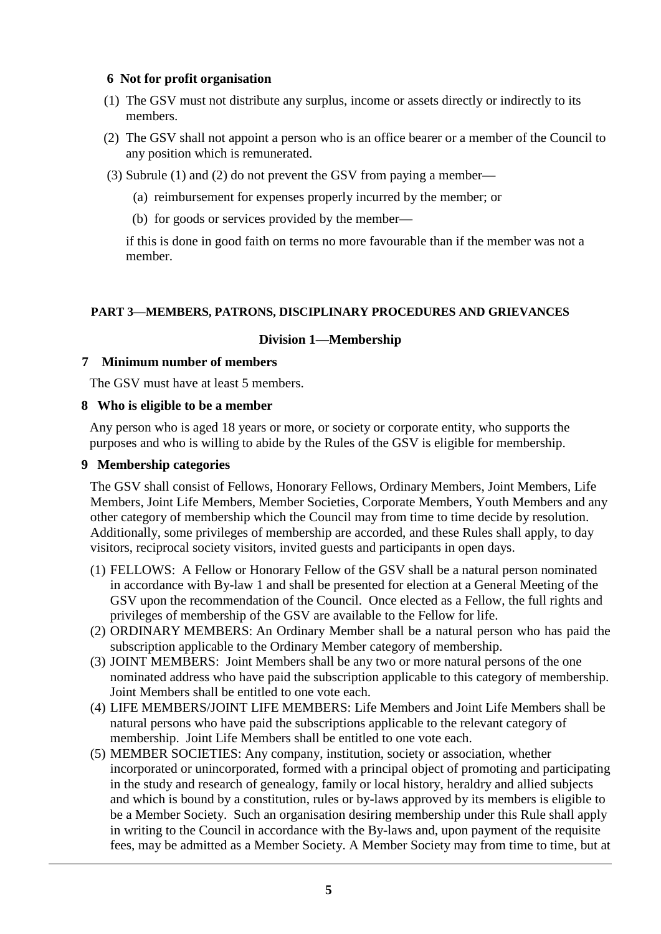# **6 Not for profit organisation**

- (1) The GSV must not distribute any surplus, income or assets directly or indirectly to its members.
- (2) The GSV shall not appoint a person who is an office bearer or a member of the Council to any position which is remunerated.
- (3) Subrule (1) and (2) do not prevent the GSV from paying a member—
	- (a) reimbursement for expenses properly incurred by the member; or
	- (b) for goods or services provided by the member—

if this is done in good faith on terms no more favourable than if the member was not a member.

#### **PART 3—MEMBERS, PATRONS, DISCIPLINARY PROCEDURES AND GRIEVANCES**

#### **Division 1—Membership**

#### **7 Minimum number of members**

The GSV must have at least 5 members.

#### **8 Who is eligible to be a member**

Any person who is aged 18 years or more, or society or corporate entity, who supports the purposes and who is willing to abide by the Rules of the GSV is eligible for membership.

#### **9 Membership categories**

The GSV shall consist of Fellows, Honorary Fellows, Ordinary Members, Joint Members, Life Members, Joint Life Members, Member Societies, Corporate Members, Youth Members and any other category of membership which the Council may from time to time decide by resolution. Additionally, some privileges of membership are accorded, and these Rules shall apply, to day visitors, reciprocal society visitors, invited guests and participants in open days.

- (1) FELLOWS: A Fellow or Honorary Fellow of the GSV shall be a natural person nominated in accordance with By-law 1 and shall be presented for election at a General Meeting of the GSV upon the recommendation of the Council. Once elected as a Fellow, the full rights and privileges of membership of the GSV are available to the Fellow for life.
- (2) ORDINARY MEMBERS: An Ordinary Member shall be a natural person who has paid the subscription applicable to the Ordinary Member category of membership.
- (3) JOINT MEMBERS: Joint Members shall be any two or more natural persons of the one nominated address who have paid the subscription applicable to this category of membership. Joint Members shall be entitled to one vote each.
- (4) LIFE MEMBERS/JOINT LIFE MEMBERS: Life Members and Joint Life Members shall be natural persons who have paid the subscriptions applicable to the relevant category of membership. Joint Life Members shall be entitled to one vote each.
- (5) MEMBER SOCIETIES: Any company, institution, society or association, whether incorporated or unincorporated, formed with a principal object of promoting and participating in the study and research of genealogy, family or local history, heraldry and allied subjects and which is bound by a constitution, rules or by-laws approved by its members is eligible to be a Member Society. Such an organisation desiring membership under this Rule shall apply in writing to the Council in accordance with the By-laws and, upon payment of the requisite fees, may be admitted as a Member Society. A Member Society may from time to time, but at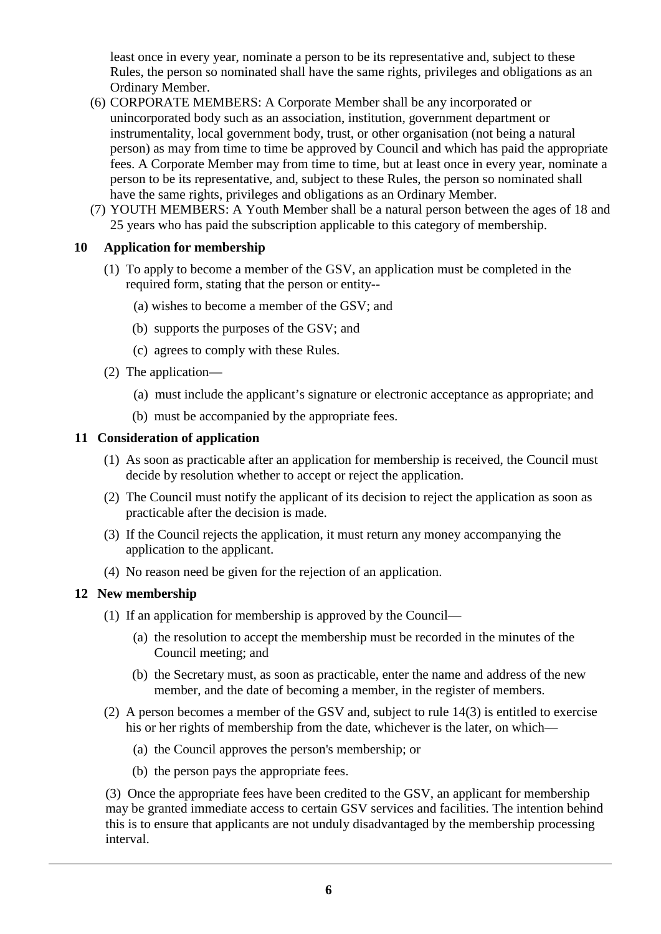least once in every year, nominate a person to be its representative and, subject to these Rules, the person so nominated shall have the same rights, privileges and obligations as an Ordinary Member.

- (6) CORPORATE MEMBERS: A Corporate Member shall be any incorporated or unincorporated body such as an association, institution, government department or instrumentality, local government body, trust, or other organisation (not being a natural person) as may from time to time be approved by Council and which has paid the appropriate fees. A Corporate Member may from time to time, but at least once in every year, nominate a person to be its representative, and, subject to these Rules, the person so nominated shall have the same rights, privileges and obligations as an Ordinary Member.
- (7) YOUTH MEMBERS: A Youth Member shall be a natural person between the ages of 18 and 25 years who has paid the subscription applicable to this category of membership.

# **10 Application for membership**

- (1) To apply to become a member of the GSV, an application must be completed in the required form, stating that the person or entity--
	- (a) wishes to become a member of the GSV; and
	- (b) supports the purposes of the GSV; and
	- (c) agrees to comply with these Rules.
- (2) The application—
	- (a) must include the applicant's signature or electronic acceptance as appropriate; and
	- (b) must be accompanied by the appropriate fees.

# **11 Consideration of application**

- (1) As soon as practicable after an application for membership is received, the Council must decide by resolution whether to accept or reject the application.
- (2) The Council must notify the applicant of its decision to reject the application as soon as practicable after the decision is made.
- (3) If the Council rejects the application, it must return any money accompanying the application to the applicant.
- (4) No reason need be given for the rejection of an application.

# **12 New membership**

- (1) If an application for membership is approved by the Council—
	- (a) the resolution to accept the membership must be recorded in the minutes of the Council meeting; and
	- (b) the Secretary must, as soon as practicable, enter the name and address of the new member, and the date of becoming a member, in the register of members.
- (2) A person becomes a member of the GSV and, subject to rule 14(3) is entitled to exercise his or her rights of membership from the date, whichever is the later, on which—
	- (a) the Council approves the person's membership; or
	- (b) the person pays the appropriate fees.

(3) Once the appropriate fees have been credited to the GSV, an applicant for membership may be granted immediate access to certain GSV services and facilities. The intention behind this is to ensure that applicants are not unduly disadvantaged by the membership processing interval.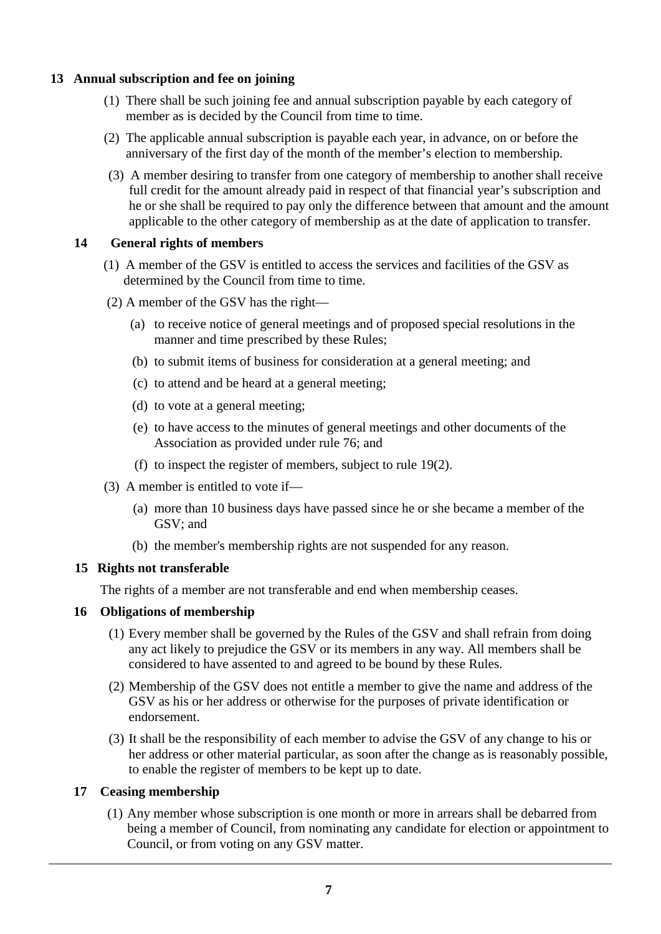# **13 Annual subscription and fee on joining**

- (1) There shall be such joining fee and annual subscription payable by each category of member as is decided by the Council from time to time.
- (2) The applicable annual subscription is payable each year, in advance, on or before the anniversary of the first day of the month of the member's election to membership.
- (3) A member desiring to transfer from one category of membership to another shall receive full credit for the amount already paid in respect of that financial year's subscription and he or she shall be required to pay only the difference between that amount and the amount applicable to the other category of membership as at the date of application to transfer.

# **14 General rights of members**

- (1) A member of the GSV is entitled to access the services and facilities of the GSV as determined by the Council from time to time.
- (2) A member of the GSV has the right—
	- (a) to receive notice of general meetings and of proposed special resolutions in the manner and time prescribed by these Rules;
	- (b) to submit items of business for consideration at a general meeting; and
	- (c) to attend and be heard at a general meeting;
	- (d) to vote at a general meeting;
	- (e) to have access to the minutes of general meetings and other documents of the Association as provided under rule 76; and
	- (f) to inspect the register of members, subject to rule 19(2).
- (3) A member is entitled to vote if—
	- (a) more than 10 business days have passed since he or she became a member of the GSV; and
	- (b) the member's membership rights are not suspended for any reason.

# **15 Rights not transferable**

The rights of a member are not transferable and end when membership ceases.

# **16 Obligations of membership**

- (1) Every member shall be governed by the Rules of the GSV and shall refrain from doing any act likely to prejudice the GSV or its members in any way. All members shall be considered to have assented to and agreed to be bound by these Rules.
- (2) Membership of the GSV does not entitle a member to give the name and address of the GSV as his or her address or otherwise for the purposes of private identification or endorsement.
- (3) It shall be the responsibility of each member to advise the GSV of any change to his or her address or other material particular, as soon after the change as is reasonably possible, to enable the register of members to be kept up to date.

# **17 Ceasing membership**

(1) Any member whose subscription is one month or more in arrears shall be debarred from being a member of Council, from nominating any candidate for election or appointment to Council, or from voting on any GSV matter.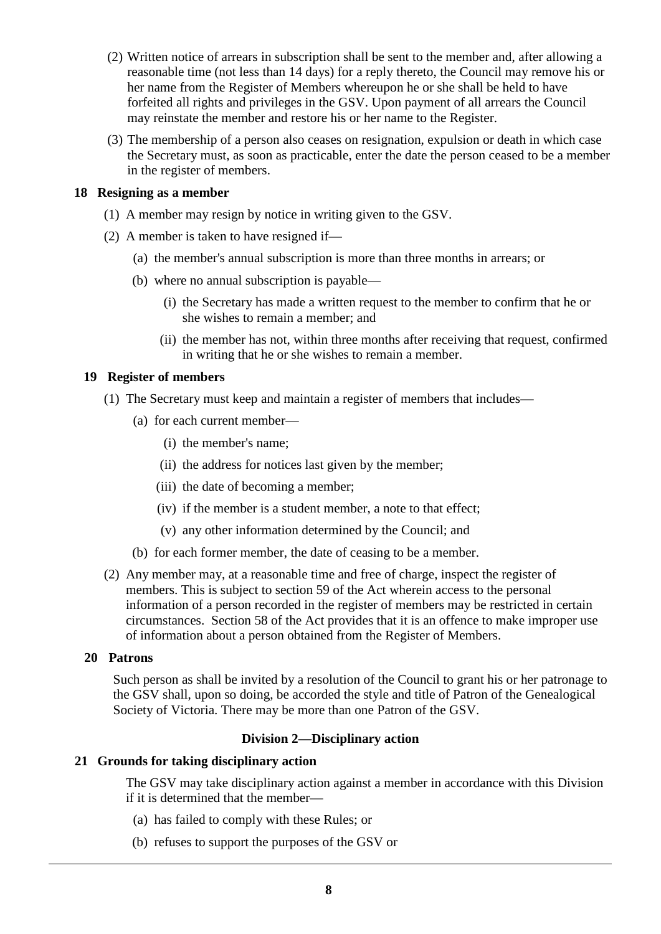- (2) Written notice of arrears in subscription shall be sent to the member and, after allowing a reasonable time (not less than 14 days) for a reply thereto, the Council may remove his or her name from the Register of Members whereupon he or she shall be held to have forfeited all rights and privileges in the GSV. Upon payment of all arrears the Council may reinstate the member and restore his or her name to the Register.
- (3) The membership of a person also ceases on resignation, expulsion or death in which case the Secretary must, as soon as practicable, enter the date the person ceased to be a member in the register of members.

#### **18 Resigning as a member**

- (1) A member may resign by notice in writing given to the GSV.
- (2) A member is taken to have resigned if—
	- (a) the member's annual subscription is more than three months in arrears; or
	- (b) where no annual subscription is payable—
		- (i) the Secretary has made a written request to the member to confirm that he or she wishes to remain a member; and
		- (ii) the member has not, within three months after receiving that request, confirmed in writing that he or she wishes to remain a member.

#### **19 Register of members**

- (1) The Secretary must keep and maintain a register of members that includes—
	- (a) for each current member—
		- (i) the member's name;
		- (ii) the address for notices last given by the member;
		- (iii) the date of becoming a member;
		- (iv) if the member is a student member, a note to that effect;
		- (v) any other information determined by the Council; and
	- (b) for each former member, the date of ceasing to be a member.
- (2) Any member may, at a reasonable time and free of charge, inspect the register of members. This is subject to section 59 of the Act wherein access to the personal information of a person recorded in the register of members may be restricted in certain circumstances. Section 58 of the Act provides that it is an offence to make improper use of information about a person obtained from the Register of Members.

#### **20 Patrons**

Such person as shall be invited by a resolution of the Council to grant his or her patronage to the GSV shall, upon so doing, be accorded the style and title of Patron of the Genealogical Society of Victoria. There may be more than one Patron of the GSV.

#### **Division 2—Disciplinary action**

# **21 Grounds for taking disciplinary action**

The GSV may take disciplinary action against a member in accordance with this Division if it is determined that the member—

- (a) has failed to comply with these Rules; or
- (b) refuses to support the purposes of the GSV or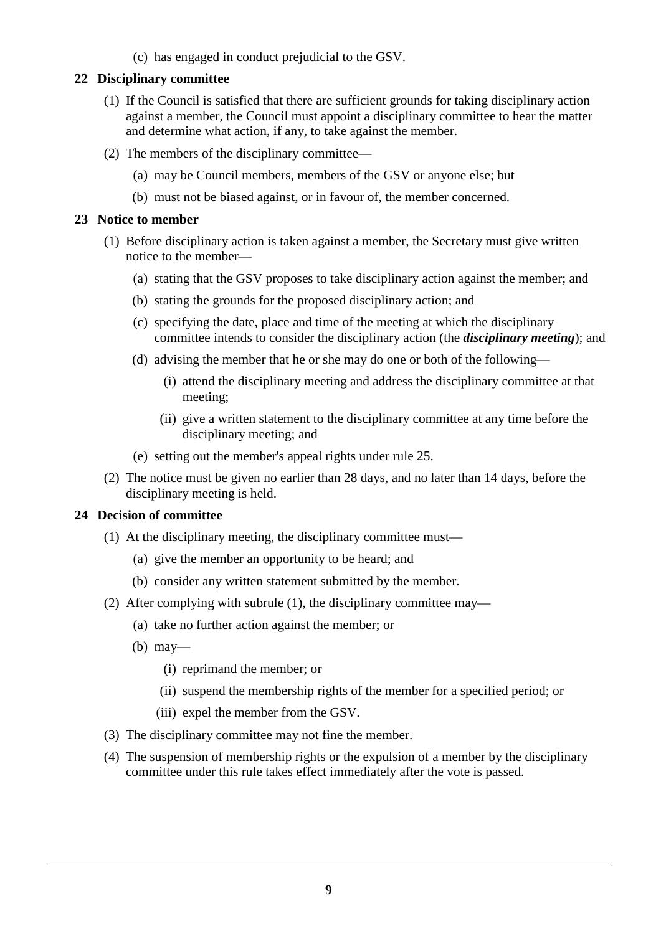(c) has engaged in conduct prejudicial to the GSV.

# **22 Disciplinary committee**

- (1) If the Council is satisfied that there are sufficient grounds for taking disciplinary action against a member, the Council must appoint a disciplinary committee to hear the matter and determine what action, if any, to take against the member.
- (2) The members of the disciplinary committee—
	- (a) may be Council members, members of the GSV or anyone else; but
	- (b) must not be biased against, or in favour of, the member concerned.

# **23 Notice to member**

- (1) Before disciplinary action is taken against a member, the Secretary must give written notice to the member—
	- (a) stating that the GSV proposes to take disciplinary action against the member; and
	- (b) stating the grounds for the proposed disciplinary action; and
	- (c) specifying the date, place and time of the meeting at which the disciplinary committee intends to consider the disciplinary action (the *disciplinary meeting*); and
	- (d) advising the member that he or she may do one or both of the following—
		- (i) attend the disciplinary meeting and address the disciplinary committee at that meeting;
		- (ii) give a written statement to the disciplinary committee at any time before the disciplinary meeting; and
	- (e) setting out the member's appeal rights under rule 25.
- (2) The notice must be given no earlier than 28 days, and no later than 14 days, before the disciplinary meeting is held.

# **24 Decision of committee**

- (1) At the disciplinary meeting, the disciplinary committee must—
	- (a) give the member an opportunity to be heard; and
	- (b) consider any written statement submitted by the member.
- (2) After complying with subrule (1), the disciplinary committee may—
	- (a) take no further action against the member; or
	- (b) may—
		- (i) reprimand the member; or
		- (ii) suspend the membership rights of the member for a specified period; or
		- (iii) expel the member from the GSV.
- (3) The disciplinary committee may not fine the member.
- (4) The suspension of membership rights or the expulsion of a member by the disciplinary committee under this rule takes effect immediately after the vote is passed.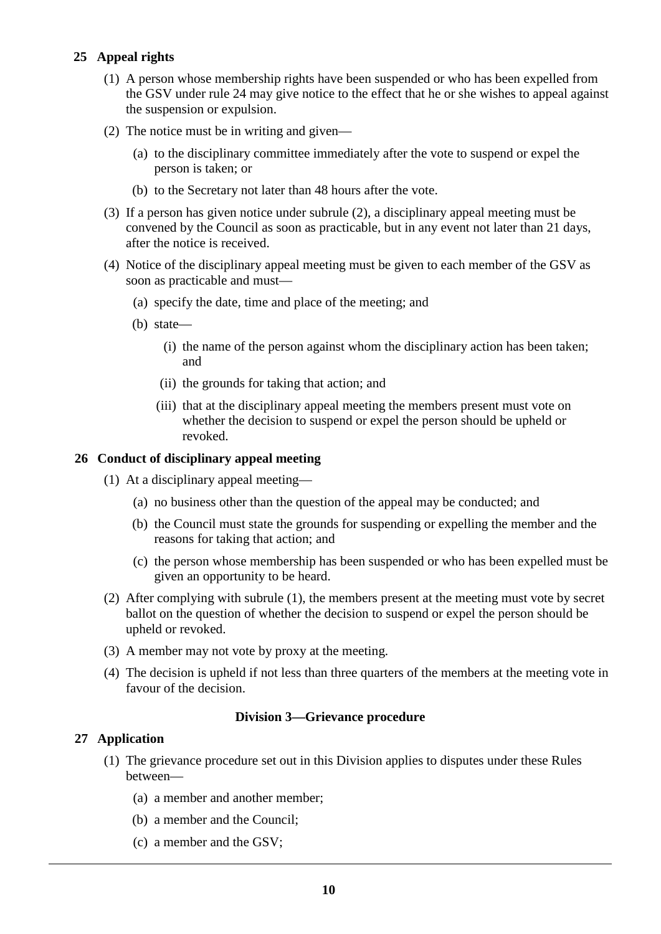# **25 Appeal rights**

- (1) A person whose membership rights have been suspended or who has been expelled from the GSV under rule 24 may give notice to the effect that he or she wishes to appeal against the suspension or expulsion.
- (2) The notice must be in writing and given—
	- (a) to the disciplinary committee immediately after the vote to suspend or expel the person is taken; or
	- (b) to the Secretary not later than 48 hours after the vote.
- (3) If a person has given notice under subrule (2), a disciplinary appeal meeting must be convened by the Council as soon as practicable, but in any event not later than 21 days, after the notice is received.
- (4) Notice of the disciplinary appeal meeting must be given to each member of the GSV as soon as practicable and must—
	- (a) specify the date, time and place of the meeting; and
	- (b) state—
		- (i) the name of the person against whom the disciplinary action has been taken; and
		- (ii) the grounds for taking that action; and
		- (iii) that at the disciplinary appeal meeting the members present must vote on whether the decision to suspend or expel the person should be upheld or revoked.

#### **26 Conduct of disciplinary appeal meeting**

- (1) At a disciplinary appeal meeting—
	- (a) no business other than the question of the appeal may be conducted; and
	- (b) the Council must state the grounds for suspending or expelling the member and the reasons for taking that action; and
	- (c) the person whose membership has been suspended or who has been expelled must be given an opportunity to be heard.
- (2) After complying with subrule (1), the members present at the meeting must vote by secret ballot on the question of whether the decision to suspend or expel the person should be upheld or revoked.
- (3) A member may not vote by proxy at the meeting.
- (4) The decision is upheld if not less than three quarters of the members at the meeting vote in favour of the decision.

# **Division 3—Grievance procedure**

# **27 Application**

- (1) The grievance procedure set out in this Division applies to disputes under these Rules between—
	- (a) a member and another member;
	- (b) a member and the Council;
	- (c) a member and the GSV;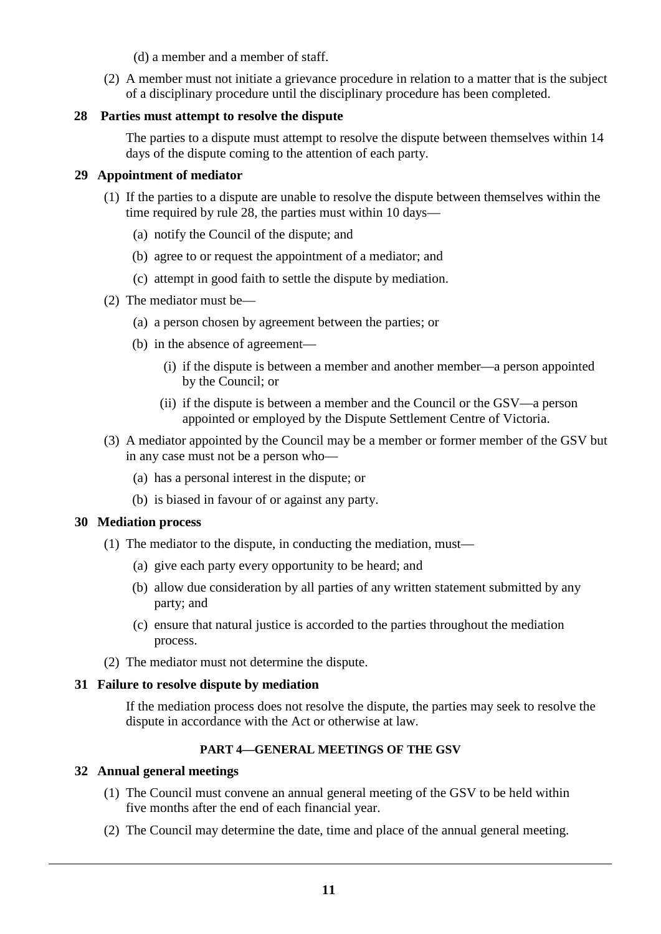(d) a member and a member of staff.

(2) A member must not initiate a grievance procedure in relation to a matter that is the subject of a disciplinary procedure until the disciplinary procedure has been completed.

#### **28 Parties must attempt to resolve the dispute**

The parties to a dispute must attempt to resolve the dispute between themselves within 14 days of the dispute coming to the attention of each party.

#### **29 Appointment of mediator**

- (1) If the parties to a dispute are unable to resolve the dispute between themselves within the time required by rule 28, the parties must within 10 days—
	- (a) notify the Council of the dispute; and
	- (b) agree to or request the appointment of a mediator; and
	- (c) attempt in good faith to settle the dispute by mediation.
- (2) The mediator must be—
	- (a) a person chosen by agreement between the parties; or
	- (b) in the absence of agreement—
		- (i) if the dispute is between a member and another member—a person appointed by the Council; or
		- (ii) if the dispute is between a member and the Council or the GSV—a person appointed or employed by the Dispute Settlement Centre of Victoria.
- (3) A mediator appointed by the Council may be a member or former member of the GSV but in any case must not be a person who—
	- (a) has a personal interest in the dispute; or
	- (b) is biased in favour of or against any party.

#### **30 Mediation process**

- (1) The mediator to the dispute, in conducting the mediation, must—
	- (a) give each party every opportunity to be heard; and
	- (b) allow due consideration by all parties of any written statement submitted by any party; and
	- (c) ensure that natural justice is accorded to the parties throughout the mediation process.
- (2) The mediator must not determine the dispute.

#### **31 Failure to resolve dispute by mediation**

If the mediation process does not resolve the dispute, the parties may seek to resolve the dispute in accordance with the Act or otherwise at law.

# **PART 4—GENERAL MEETINGS OF THE GSV**

#### **32 Annual general meetings**

- (1) The Council must convene an annual general meeting of the GSV to be held within five months after the end of each financial year.
- (2) The Council may determine the date, time and place of the annual general meeting.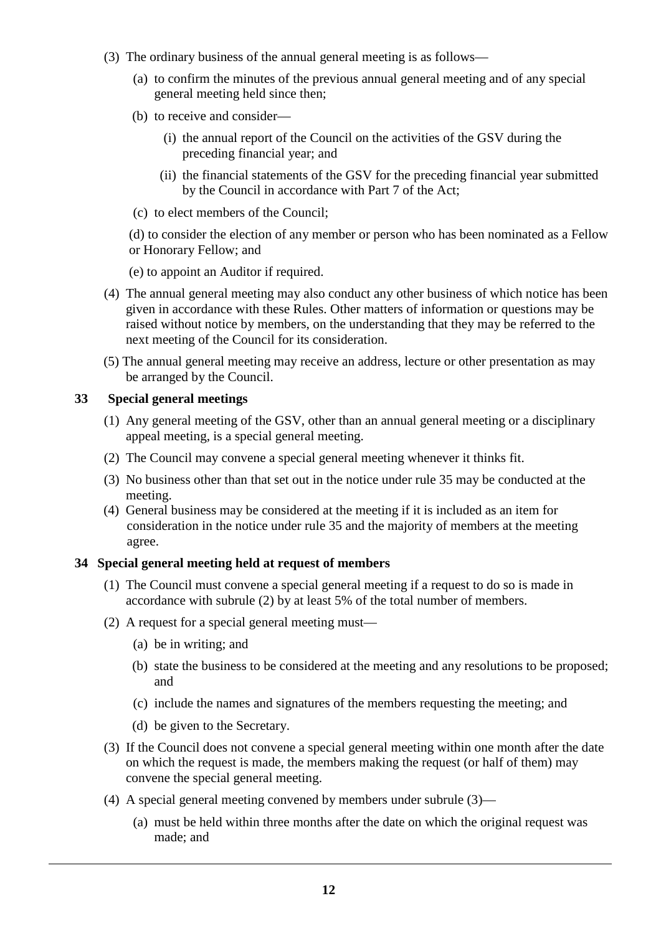- (3) The ordinary business of the annual general meeting is as follows—
	- (a) to confirm the minutes of the previous annual general meeting and of any special general meeting held since then;
	- (b) to receive and consider—
		- (i) the annual report of the Council on the activities of the GSV during the preceding financial year; and
		- (ii) the financial statements of the GSV for the preceding financial year submitted by the Council in accordance with Part 7 of the Act;
	- (c) to elect members of the Council;

(d) to consider the election of any member or person who has been nominated as a Fellow or Honorary Fellow; and

(e) to appoint an Auditor if required.

- (4) The annual general meeting may also conduct any other business of which notice has been given in accordance with these Rules. Other matters of information or questions may be raised without notice by members, on the understanding that they may be referred to the next meeting of the Council for its consideration.
- (5) The annual general meeting may receive an address, lecture or other presentation as may be arranged by the Council.

#### **33 Special general meetings**

- (1) Any general meeting of the GSV, other than an annual general meeting or a disciplinary appeal meeting, is a special general meeting.
- (2) The Council may convene a special general meeting whenever it thinks fit.
- (3) No business other than that set out in the notice under rule 35 may be conducted at the meeting.
- (4) General business may be considered at the meeting if it is included as an item for consideration in the notice under rule 35 and the majority of members at the meeting agree.

#### **34 Special general meeting held at request of members**

- (1) The Council must convene a special general meeting if a request to do so is made in accordance with subrule (2) by at least 5% of the total number of members.
- (2) A request for a special general meeting must—
	- (a) be in writing; and
	- (b) state the business to be considered at the meeting and any resolutions to be proposed; and
	- (c) include the names and signatures of the members requesting the meeting; and
	- (d) be given to the Secretary.
- (3) If the Council does not convene a special general meeting within one month after the date on which the request is made, the members making the request (or half of them) may convene the special general meeting.
- (4) A special general meeting convened by members under subrule (3)—
	- (a) must be held within three months after the date on which the original request was made; and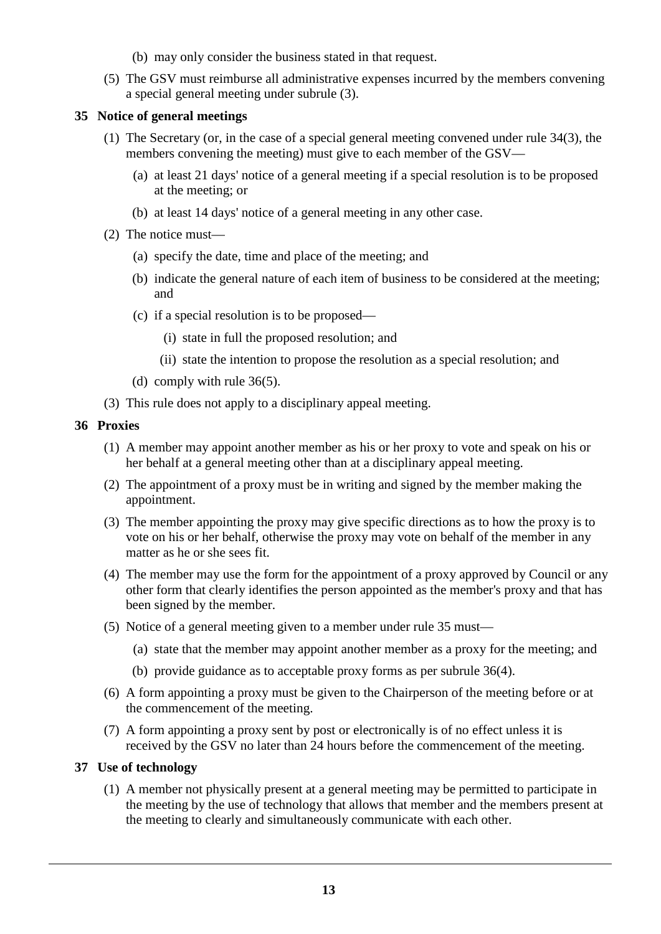- (b) may only consider the business stated in that request.
- (5) The GSV must reimburse all administrative expenses incurred by the members convening a special general meeting under subrule (3).

#### **35 Notice of general meetings**

- (1) The Secretary (or, in the case of a special general meeting convened under rule 34(3), the members convening the meeting) must give to each member of the GSV—
	- (a) at least 21 days' notice of a general meeting if a special resolution is to be proposed at the meeting; or
	- (b) at least 14 days' notice of a general meeting in any other case.
- (2) The notice must—
	- (a) specify the date, time and place of the meeting; and
	- (b) indicate the general nature of each item of business to be considered at the meeting; and
	- (c) if a special resolution is to be proposed—
		- (i) state in full the proposed resolution; and
		- (ii) state the intention to propose the resolution as a special resolution; and
	- (d) comply with rule 36(5).
- (3) This rule does not apply to a disciplinary appeal meeting.

# **36 Proxies**

- (1) A member may appoint another member as his or her proxy to vote and speak on his or her behalf at a general meeting other than at a disciplinary appeal meeting.
- (2) The appointment of a proxy must be in writing and signed by the member making the appointment.
- (3) The member appointing the proxy may give specific directions as to how the proxy is to vote on his or her behalf, otherwise the proxy may vote on behalf of the member in any matter as he or she sees fit.
- (4) The member may use the form for the appointment of a proxy approved by Council or any other form that clearly identifies the person appointed as the member's proxy and that has been signed by the member.
- (5) Notice of a general meeting given to a member under rule 35 must—
	- (a) state that the member may appoint another member as a proxy for the meeting; and
	- (b) provide guidance as to acceptable proxy forms as per subrule 36(4).
- (6) A form appointing a proxy must be given to the Chairperson of the meeting before or at the commencement of the meeting.
- (7) A form appointing a proxy sent by post or electronically is of no effect unless it is received by the GSV no later than 24 hours before the commencement of the meeting.

# **37 Use of technology**

(1) A member not physically present at a general meeting may be permitted to participate in the meeting by the use of technology that allows that member and the members present at the meeting to clearly and simultaneously communicate with each other.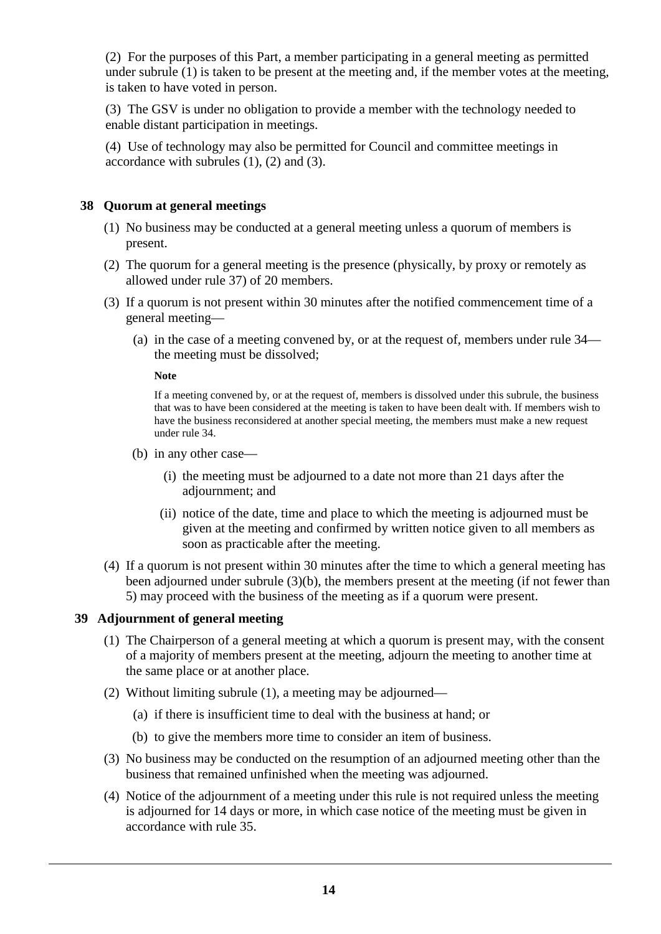(2) For the purposes of this Part, a member participating in a general meeting as permitted under subrule (1) is taken to be present at the meeting and, if the member votes at the meeting, is taken to have voted in person.

(3) The GSV is under no obligation to provide a member with the technology needed to enable distant participation in meetings.

(4) Use of technology may also be permitted for Council and committee meetings in accordance with subrules  $(1)$ ,  $(2)$  and  $(3)$ .

# **38 Quorum at general meetings**

- (1) No business may be conducted at a general meeting unless a quorum of members is present.
- (2) The quorum for a general meeting is the presence (physically, by proxy or remotely as allowed under rule 37) of 20 members.
- (3) If a quorum is not present within 30 minutes after the notified commencement time of a general meeting—
	- (a) in the case of a meeting convened by, or at the request of, members under rule 34 the meeting must be dissolved;

**Note**

If a meeting convened by, or at the request of, members is dissolved under this subrule, the business that was to have been considered at the meeting is taken to have been dealt with. If members wish to have the business reconsidered at another special meeting, the members must make a new request under rule 34.

- (b) in any other case—
	- (i) the meeting must be adjourned to a date not more than 21 days after the adjournment; and
	- (ii) notice of the date, time and place to which the meeting is adjourned must be given at the meeting and confirmed by written notice given to all members as soon as practicable after the meeting.
- (4) If a quorum is not present within 30 minutes after the time to which a general meeting has been adjourned under subrule (3)(b), the members present at the meeting (if not fewer than 5) may proceed with the business of the meeting as if a quorum were present.

# **39 Adjournment of general meeting**

- (1) The Chairperson of a general meeting at which a quorum is present may, with the consent of a majority of members present at the meeting, adjourn the meeting to another time at the same place or at another place.
- (2) Without limiting subrule (1), a meeting may be adjourned—
	- (a) if there is insufficient time to deal with the business at hand; or
	- (b) to give the members more time to consider an item of business.
- (3) No business may be conducted on the resumption of an adjourned meeting other than the business that remained unfinished when the meeting was adjourned.
- (4) Notice of the adjournment of a meeting under this rule is not required unless the meeting is adjourned for 14 days or more, in which case notice of the meeting must be given in accordance with rule 35.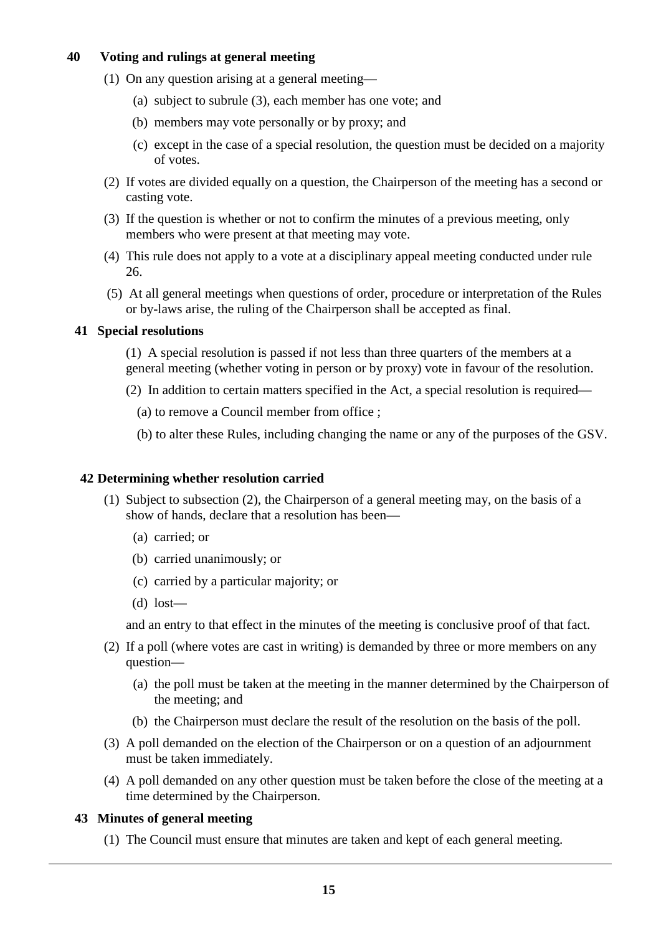# **40 Voting and rulings at general meeting**

- (1) On any question arising at a general meeting—
	- (a) subject to subrule (3), each member has one vote; and
	- (b) members may vote personally or by proxy; and
	- (c) except in the case of a special resolution, the question must be decided on a majority of votes.
- (2) If votes are divided equally on a question, the Chairperson of the meeting has a second or casting vote.
- (3) If the question is whether or not to confirm the minutes of a previous meeting, only members who were present at that meeting may vote.
- (4) This rule does not apply to a vote at a disciplinary appeal meeting conducted under rule 26.
- (5) At all general meetings when questions of order, procedure or interpretation of the Rules or by-laws arise, the ruling of the Chairperson shall be accepted as final.

#### **41 Special resolutions**

- (1) A special resolution is passed if not less than three quarters of the members at a general meeting (whether voting in person or by proxy) vote in favour of the resolution.
- (2) In addition to certain matters specified in the Act, a special resolution is required—
	- (a) to remove a Council member from office ;
	- (b) to alter these Rules, including changing the name or any of the purposes of the GSV.

# **42 Determining whether resolution carried**

- (1) Subject to subsection (2), the Chairperson of a general meeting may, on the basis of a show of hands, declare that a resolution has been—
	- (a) carried; or
	- (b) carried unanimously; or
	- (c) carried by a particular majority; or
	- (d) lost—

and an entry to that effect in the minutes of the meeting is conclusive proof of that fact.

- (2) If a poll (where votes are cast in writing) is demanded by three or more members on any question—
	- (a) the poll must be taken at the meeting in the manner determined by the Chairperson of the meeting; and
	- (b) the Chairperson must declare the result of the resolution on the basis of the poll.
- (3) A poll demanded on the election of the Chairperson or on a question of an adjournment must be taken immediately.
- (4) A poll demanded on any other question must be taken before the close of the meeting at a time determined by the Chairperson.

#### **43 Minutes of general meeting**

(1) The Council must ensure that minutes are taken and kept of each general meeting.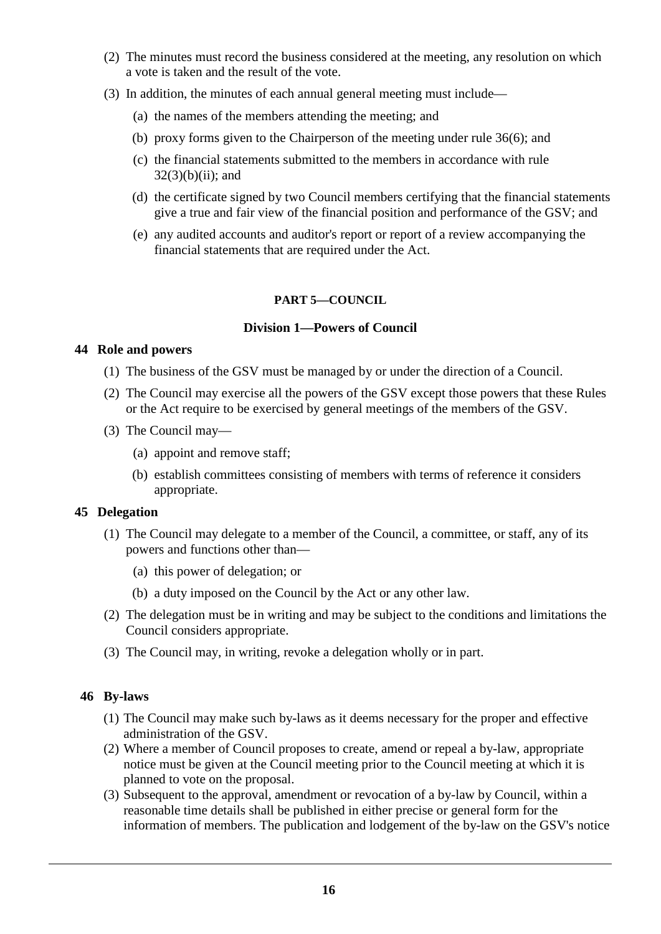- (2) The minutes must record the business considered at the meeting, any resolution on which a vote is taken and the result of the vote.
- (3) In addition, the minutes of each annual general meeting must include—
	- (a) the names of the members attending the meeting; and
	- (b) proxy forms given to the Chairperson of the meeting under rule 36(6); and
	- (c) the financial statements submitted to the members in accordance with rule  $32(3)(b)(ii)$ ; and
	- (d) the certificate signed by two Council members certifying that the financial statements give a true and fair view of the financial position and performance of the GSV; and
	- (e) any audited accounts and auditor's report or report of a review accompanying the financial statements that are required under the Act.

#### **PART 5—COUNCIL**

#### **Division 1—Powers of Council**

#### **44 Role and powers**

- (1) The business of the GSV must be managed by or under the direction of a Council.
- (2) The Council may exercise all the powers of the GSV except those powers that these Rules or the Act require to be exercised by general meetings of the members of the GSV.
- (3) The Council may—
	- (a) appoint and remove staff;
	- (b) establish committees consisting of members with terms of reference it considers appropriate.

# **45 Delegation**

- (1) The Council may delegate to a member of the Council, a committee, or staff, any of its powers and functions other than—
	- (a) this power of delegation; or
	- (b) a duty imposed on the Council by the Act or any other law.
- (2) The delegation must be in writing and may be subject to the conditions and limitations the Council considers appropriate.
- (3) The Council may, in writing, revoke a delegation wholly or in part.

# **46 By-laws**

- (1) The Council may make such by-laws as it deems necessary for the proper and effective administration of the GSV.
- (2) Where a member of Council proposes to create, amend or repeal a by-law, appropriate notice must be given at the Council meeting prior to the Council meeting at which it is planned to vote on the proposal.
- (3) Subsequent to the approval, amendment or revocation of a by-law by Council, within a reasonable time details shall be published in either precise or general form for the information of members. The publication and lodgement of the by-law on the GSV's notice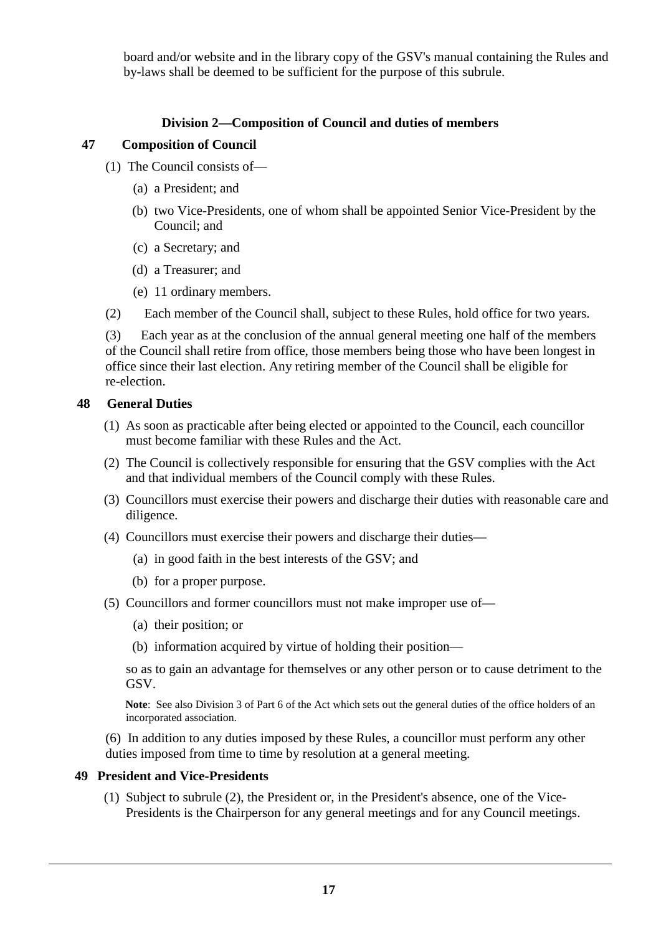board and/or website and in the library copy of the GSV's manual containing the Rules and by-laws shall be deemed to be sufficient for the purpose of this subrule.

# **Division 2—Composition of Council and duties of members**

# **47 Composition of Council**

- (1) The Council consists of—
	- (a) a President; and
	- (b) two Vice-Presidents, one of whom shall be appointed Senior Vice-President by the Council; and
	- (c) a Secretary; and
	- (d) a Treasurer; and
	- (e) 11 ordinary members.
- (2) Each member of the Council shall, subject to these Rules, hold office for two years.

(3) Each year as at the conclusion of the annual general meeting one half of the members of the Council shall retire from office, those members being those who have been longest in office since their last election. Any retiring member of the Council shall be eligible for re-election.

# **48 General Duties**

- (1) As soon as practicable after being elected or appointed to the Council, each councillor must become familiar with these Rules and the Act.
- (2) The Council is collectively responsible for ensuring that the GSV complies with the Act and that individual members of the Council comply with these Rules.
- (3) Councillors must exercise their powers and discharge their duties with reasonable care and diligence.
- (4) Councillors must exercise their powers and discharge their duties—
	- (a) in good faith in the best interests of the GSV; and
	- (b) for a proper purpose.
- (5) Councillors and former councillors must not make improper use of—
	- (a) their position; or
	- (b) information acquired by virtue of holding their position—

so as to gain an advantage for themselves or any other person or to cause detriment to the GSV.

 **Note**: See also Division 3 of Part 6 of the Act which sets out the general duties of the office holders of an incorporated association.

(6) In addition to any duties imposed by these Rules, a councillor must perform any other duties imposed from time to time by resolution at a general meeting.

# **49 President and Vice-Presidents**

(1) Subject to subrule (2), the President or, in the President's absence, one of the Vice-Presidents is the Chairperson for any general meetings and for any Council meetings.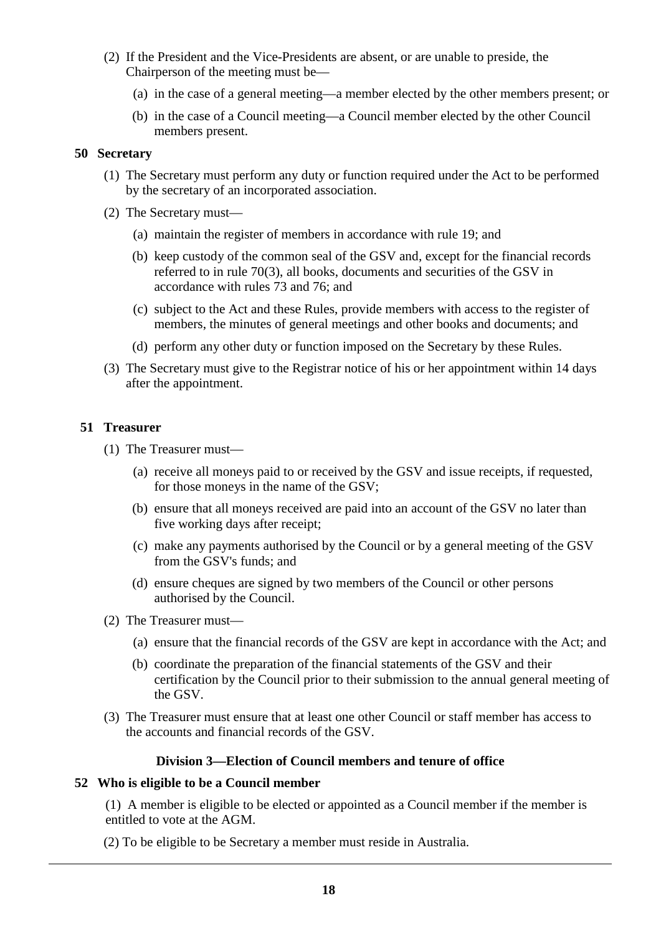- (2) If the President and the Vice-Presidents are absent, or are unable to preside, the Chairperson of the meeting must be—
	- (a) in the case of a general meeting—a member elected by the other members present; or
	- (b) in the case of a Council meeting—a Council member elected by the other Council members present.

#### **50 Secretary**

- (1) The Secretary must perform any duty or function required under the Act to be performed by the secretary of an incorporated association.
- (2) The Secretary must—
	- (a) maintain the register of members in accordance with rule 19; and
	- (b) keep custody of the common seal of the GSV and, except for the financial records referred to in rule 70(3), all books, documents and securities of the GSV in accordance with rules 73 and 76; and
	- (c) subject to the Act and these Rules, provide members with access to the register of members, the minutes of general meetings and other books and documents; and
	- (d) perform any other duty or function imposed on the Secretary by these Rules.
- (3) The Secretary must give to the Registrar notice of his or her appointment within 14 days after the appointment.

#### **51 Treasurer**

- (1) The Treasurer must—
	- (a) receive all moneys paid to or received by the GSV and issue receipts, if requested, for those moneys in the name of the GSV;
	- (b) ensure that all moneys received are paid into an account of the GSV no later than five working days after receipt;
	- (c) make any payments authorised by the Council or by a general meeting of the GSV from the GSV's funds; and
	- (d) ensure cheques are signed by two members of the Council or other persons authorised by the Council.
- (2) The Treasurer must—
	- (a) ensure that the financial records of the GSV are kept in accordance with the Act; and
	- (b) coordinate the preparation of the financial statements of the GSV and their certification by the Council prior to their submission to the annual general meeting of the GSV.
- (3) The Treasurer must ensure that at least one other Council or staff member has access to the accounts and financial records of the GSV.

#### **Division 3—Election of Council members and tenure of office**

#### **52 Who is eligible to be a Council member**

(1) A member is eligible to be elected or appointed as a Council member if the member is entitled to vote at the AGM.

(2) To be eligible to be Secretary a member must reside in Australia.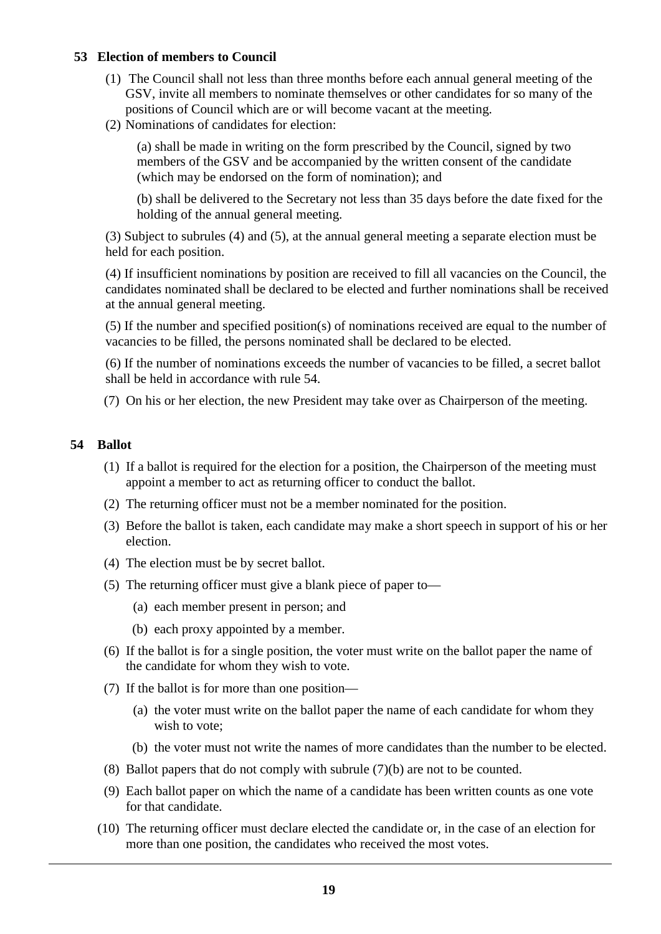#### **53 Election of members to Council**

- (1) The Council shall not less than three months before each annual general meeting of the GSV, invite all members to nominate themselves or other candidates for so many of the positions of Council which are or will become vacant at the meeting.
- (2) Nominations of candidates for election:

(a) shall be made in writing on the form prescribed by the Council, signed by two members of the GSV and be accompanied by the written consent of the candidate (which may be endorsed on the form of nomination); and

(b) shall be delivered to the Secretary not less than 35 days before the date fixed for the holding of the annual general meeting.

(3) Subject to subrules (4) and (5), at the annual general meeting a separate election must be held for each position.

(4) If insufficient nominations by position are received to fill all vacancies on the Council, the candidates nominated shall be declared to be elected and further nominations shall be received at the annual general meeting.

(5) If the number and specified position(s) of nominations received are equal to the number of vacancies to be filled, the persons nominated shall be declared to be elected.

(6) If the number of nominations exceeds the number of vacancies to be filled, a secret ballot shall be held in accordance with rule 54.

(7) On his or her election, the new President may take over as Chairperson of the meeting.

#### **54 Ballot**

- (1) If a ballot is required for the election for a position, the Chairperson of the meeting must appoint a member to act as returning officer to conduct the ballot.
- (2) The returning officer must not be a member nominated for the position.
- (3) Before the ballot is taken, each candidate may make a short speech in support of his or her election.
- (4) The election must be by secret ballot.
- (5) The returning officer must give a blank piece of paper to—
	- (a) each member present in person; and
	- (b) each proxy appointed by a member.
- (6) If the ballot is for a single position, the voter must write on the ballot paper the name of the candidate for whom they wish to vote.
- (7) If the ballot is for more than one position—
	- (a) the voter must write on the ballot paper the name of each candidate for whom they wish to vote;
	- (b) the voter must not write the names of more candidates than the number to be elected.
- (8) Ballot papers that do not comply with subrule (7)(b) are not to be counted.
- (9) Each ballot paper on which the name of a candidate has been written counts as one vote for that candidate.
- (10) The returning officer must declare elected the candidate or, in the case of an election for more than one position, the candidates who received the most votes.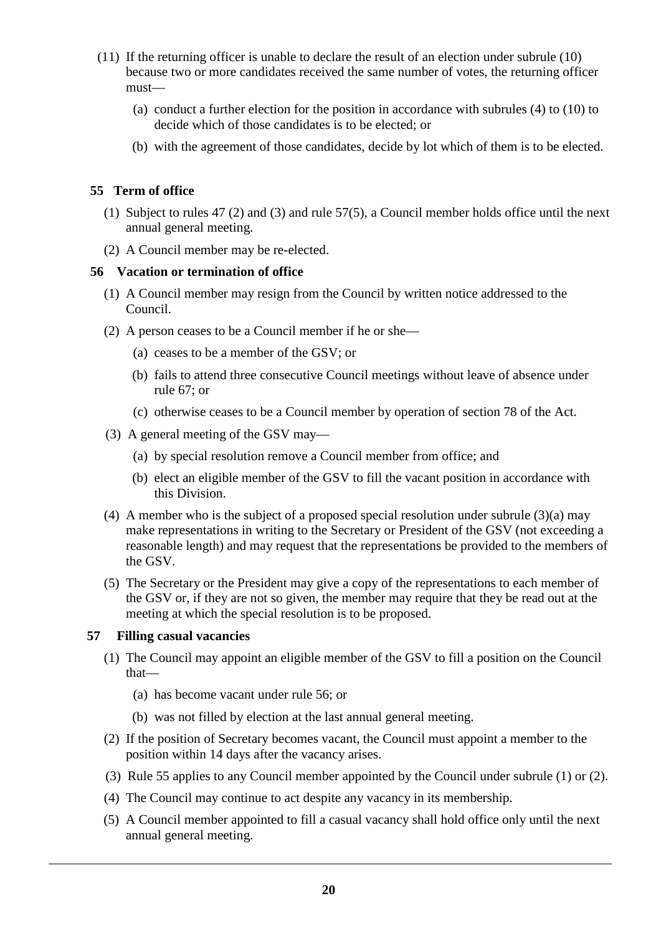- (11) If the returning officer is unable to declare the result of an election under subrule (10) because two or more candidates received the same number of votes, the returning officer must—
	- (a) conduct a further election for the position in accordance with subrules (4) to (10) to decide which of those candidates is to be elected; or
	- (b) with the agreement of those candidates, decide by lot which of them is to be elected.

# **55 Term of office**

- (1) Subject to rules 47 (2) and (3) and rule 57(5), a Council member holds office until the next annual general meeting.
- (2) A Council member may be re-elected.

#### **56 Vacation or termination of office**

- (1) A Council member may resign from the Council by written notice addressed to the Council.
- (2) A person ceases to be a Council member if he or she—
	- (a) ceases to be a member of the GSV; or
	- (b) fails to attend three consecutive Council meetings without leave of absence under rule 67; or
	- (c) otherwise ceases to be a Council member by operation of section 78 of the Act.
- (3) A general meeting of the GSV may—
	- (a) by special resolution remove a Council member from office; and
	- (b) elect an eligible member of the GSV to fill the vacant position in accordance with this Division.
- (4) A member who is the subject of a proposed special resolution under subrule (3)(a) may make representations in writing to the Secretary or President of the GSV (not exceeding a reasonable length) and may request that the representations be provided to the members of the GSV.
- (5) The Secretary or the President may give a copy of the representations to each member of the GSV or, if they are not so given, the member may require that they be read out at the meeting at which the special resolution is to be proposed.

# **57 Filling casual vacancies**

- (1) The Council may appoint an eligible member of the GSV to fill a position on the Council that—
	- (a) has become vacant under rule 56; or
	- (b) was not filled by election at the last annual general meeting.
- (2) If the position of Secretary becomes vacant, the Council must appoint a member to the position within 14 days after the vacancy arises.
- (3) Rule 55 applies to any Council member appointed by the Council under subrule (1) or (2).
- (4) The Council may continue to act despite any vacancy in its membership.
- (5) A Council member appointed to fill a casual vacancy shall hold office only until the next annual general meeting.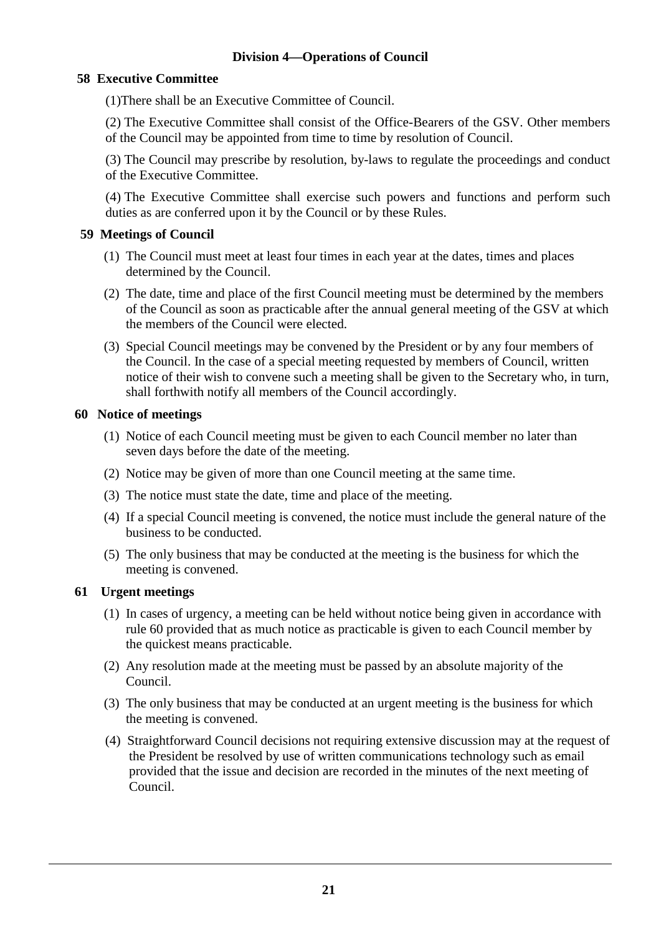# **Division 4—Operations of Council**

# **58 Executive Committee**

(1)There shall be an Executive Committee of Council.

(2) The Executive Committee shall consist of the Office-Bearers of the GSV. Other members of the Council may be appointed from time to time by resolution of Council.

(3) The Council may prescribe by resolution, by-laws to regulate the proceedings and conduct of the Executive Committee.

(4) The Executive Committee shall exercise such powers and functions and perform such duties as are conferred upon it by the Council or by these Rules.

#### **59 Meetings of Council**

- (1) The Council must meet at least four times in each year at the dates, times and places determined by the Council.
- (2) The date, time and place of the first Council meeting must be determined by the members of the Council as soon as practicable after the annual general meeting of the GSV at which the members of the Council were elected.
- (3) Special Council meetings may be convened by the President or by any four members of the Council. In the case of a special meeting requested by members of Council, written notice of their wish to convene such a meeting shall be given to the Secretary who, in turn, shall forthwith notify all members of the Council accordingly.

#### **60 Notice of meetings**

- (1) Notice of each Council meeting must be given to each Council member no later than seven days before the date of the meeting.
- (2) Notice may be given of more than one Council meeting at the same time.
- (3) The notice must state the date, time and place of the meeting.
- (4) If a special Council meeting is convened, the notice must include the general nature of the business to be conducted.
- (5) The only business that may be conducted at the meeting is the business for which the meeting is convened.

# **61 Urgent meetings**

- (1) In cases of urgency, a meeting can be held without notice being given in accordance with rule 60 provided that as much notice as practicable is given to each Council member by the quickest means practicable.
- (2) Any resolution made at the meeting must be passed by an absolute majority of the Council.
- (3) The only business that may be conducted at an urgent meeting is the business for which the meeting is convened.
- (4) Straightforward Council decisions not requiring extensive discussion may at the request of the President be resolved by use of written communications technology such as email provided that the issue and decision are recorded in the minutes of the next meeting of Council.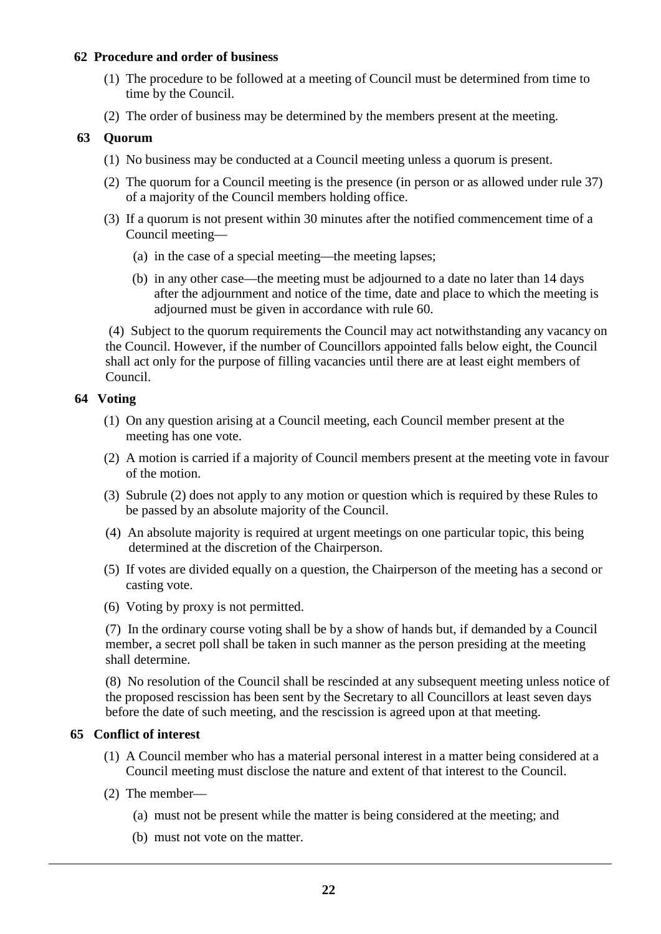#### **62 Procedure and order of business**

- (1) The procedure to be followed at a meeting of Council must be determined from time to time by the Council.
- (2) The order of business may be determined by the members present at the meeting.

#### **63 Quorum**

- (1) No business may be conducted at a Council meeting unless a quorum is present.
- (2) The quorum for a Council meeting is the presence (in person or as allowed under rule 37) of a majority of the Council members holding office.
- (3) If a quorum is not present within 30 minutes after the notified commencement time of a Council meeting—
	- (a) in the case of a special meeting—the meeting lapses;
	- (b) in any other case—the meeting must be adjourned to a date no later than 14 days after the adjournment and notice of the time, date and place to which the meeting is adjourned must be given in accordance with rule 60.

(4) Subject to the quorum requirements the Council may act notwithstanding any vacancy on the Council. However, if the number of Councillors appointed falls below eight, the Council shall act only for the purpose of filling vacancies until there are at least eight members of Council.

# **64 Voting**

- (1) On any question arising at a Council meeting, each Council member present at the meeting has one vote.
- (2) A motion is carried if a majority of Council members present at the meeting vote in favour of the motion.
- (3) Subrule (2) does not apply to any motion or question which is required by these Rules to be passed by an absolute majority of the Council.
- (4) An absolute majority is required at urgent meetings on one particular topic, this being determined at the discretion of the Chairperson.
- (5) If votes are divided equally on a question, the Chairperson of the meeting has a second or casting vote.
- (6) Voting by proxy is not permitted.

(7) In the ordinary course voting shall be by a show of hands but, if demanded by a Council member, a secret poll shall be taken in such manner as the person presiding at the meeting shall determine.

(8) No resolution of the Council shall be rescinded at any subsequent meeting unless notice of the proposed rescission has been sent by the Secretary to all Councillors at least seven days before the date of such meeting, and the rescission is agreed upon at that meeting.

#### **65 Conflict of interest**

- (1) A Council member who has a material personal interest in a matter being considered at a Council meeting must disclose the nature and extent of that interest to the Council.
- (2) The member—
	- (a) must not be present while the matter is being considered at the meeting; and
	- (b) must not vote on the matter.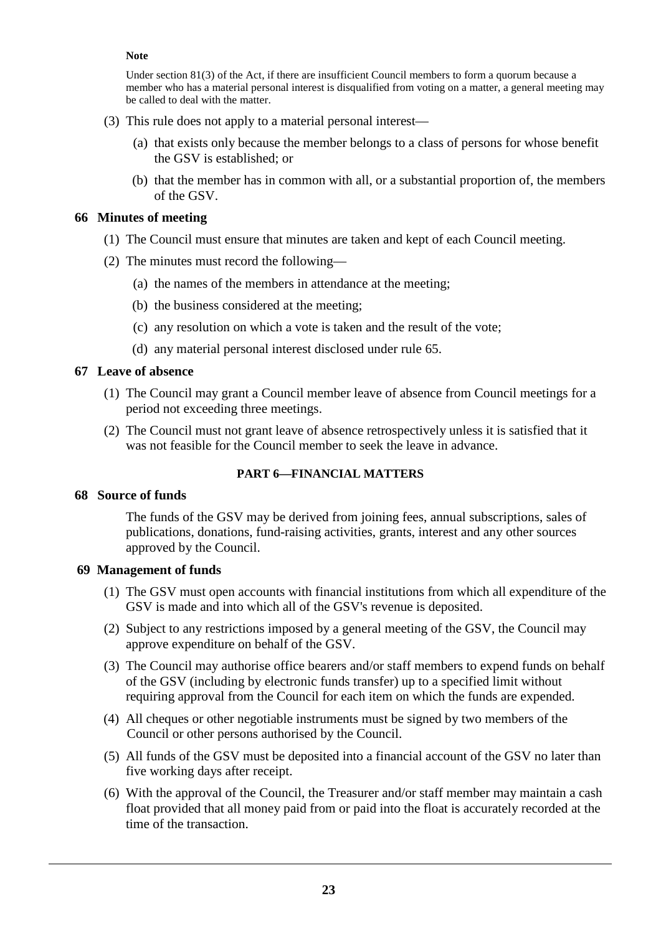#### **Note**

Under section 81(3) of the Act, if there are insufficient Council members to form a quorum because a member who has a material personal interest is disqualified from voting on a matter, a general meeting may be called to deal with the matter.

- (3) This rule does not apply to a material personal interest—
	- (a) that exists only because the member belongs to a class of persons for whose benefit the GSV is established; or
	- (b) that the member has in common with all, or a substantial proportion of, the members of the GSV.

#### **66 Minutes of meeting**

- (1) The Council must ensure that minutes are taken and kept of each Council meeting.
- (2) The minutes must record the following—
	- (a) the names of the members in attendance at the meeting;
	- (b) the business considered at the meeting;
	- (c) any resolution on which a vote is taken and the result of the vote;
	- (d) any material personal interest disclosed under rule 65.

#### **67 Leave of absence**

- (1) The Council may grant a Council member leave of absence from Council meetings for a period not exceeding three meetings.
- (2) The Council must not grant leave of absence retrospectively unless it is satisfied that it was not feasible for the Council member to seek the leave in advance.

# **PART 6—FINANCIAL MATTERS**

#### **68 Source of funds**

The funds of the GSV may be derived from joining fees, annual subscriptions, sales of publications, donations, fund-raising activities, grants, interest and any other sources approved by the Council.

#### **69 Management of funds**

- (1) The GSV must open accounts with financial institutions from which all expenditure of the GSV is made and into which all of the GSV's revenue is deposited.
- (2) Subject to any restrictions imposed by a general meeting of the GSV, the Council may approve expenditure on behalf of the GSV.
- (3) The Council may authorise office bearers and/or staff members to expend funds on behalf of the GSV (including by electronic funds transfer) up to a specified limit without requiring approval from the Council for each item on which the funds are expended.
- (4) All cheques or other negotiable instruments must be signed by two members of the Council or other persons authorised by the Council.
- (5) All funds of the GSV must be deposited into a financial account of the GSV no later than five working days after receipt.
- (6) With the approval of the Council, the Treasurer and/or staff member may maintain a cash float provided that all money paid from or paid into the float is accurately recorded at the time of the transaction.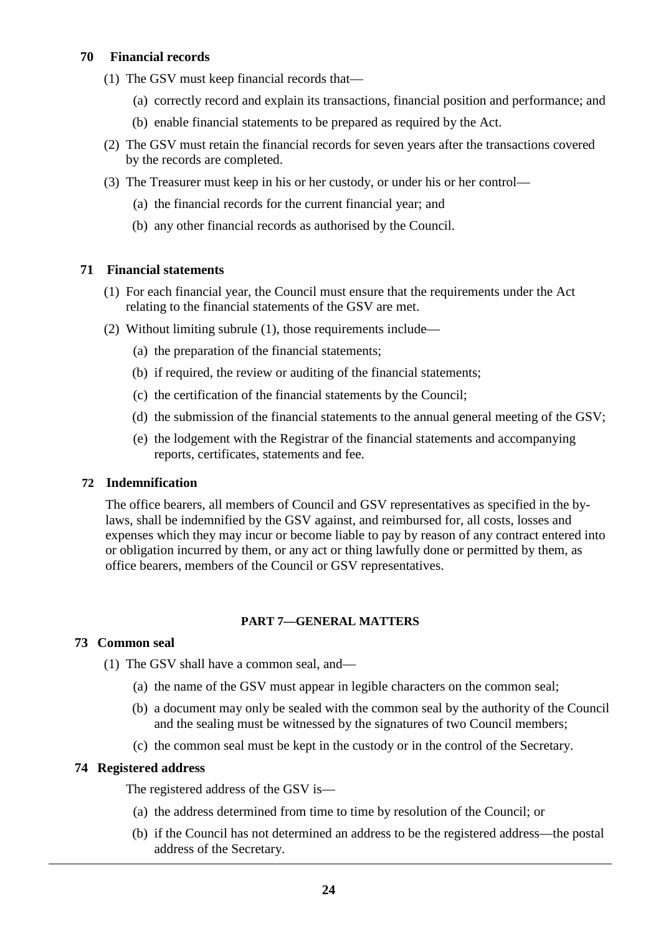# **70 Financial records**

- (1) The GSV must keep financial records that—
	- (a) correctly record and explain its transactions, financial position and performance; and
	- (b) enable financial statements to be prepared as required by the Act.
- (2) The GSV must retain the financial records for seven years after the transactions covered by the records are completed.
- (3) The Treasurer must keep in his or her custody, or under his or her control—
	- (a) the financial records for the current financial year; and
	- (b) any other financial records as authorised by the Council.

# **71 Financial statements**

- (1) For each financial year, the Council must ensure that the requirements under the Act relating to the financial statements of the GSV are met.
- (2) Without limiting subrule (1), those requirements include—
	- (a) the preparation of the financial statements;
	- (b) if required, the review or auditing of the financial statements;
	- (c) the certification of the financial statements by the Council;
	- (d) the submission of the financial statements to the annual general meeting of the GSV;
	- (e) the lodgement with the Registrar of the financial statements and accompanying reports, certificates, statements and fee.

# **72 Indemnification**

The office bearers, all members of Council and GSV representatives as specified in the bylaws, shall be indemnified by the GSV against, and reimbursed for, all costs, losses and expenses which they may incur or become liable to pay by reason of any contract entered into or obligation incurred by them, or any act or thing lawfully done or permitted by them, as office bearers, members of the Council or GSV representatives.

# **PART 7—GENERAL MATTERS**

#### **73 Common seal**

(1) The GSV shall have a common seal, and—

- (a) the name of the GSV must appear in legible characters on the common seal;
- (b) a document may only be sealed with the common seal by the authority of the Council and the sealing must be witnessed by the signatures of two Council members;
- (c) the common seal must be kept in the custody or in the control of the Secretary.

# **74 Registered address**

The registered address of the GSV is—

- (a) the address determined from time to time by resolution of the Council; or
- (b) if the Council has not determined an address to be the registered address—the postal address of the Secretary.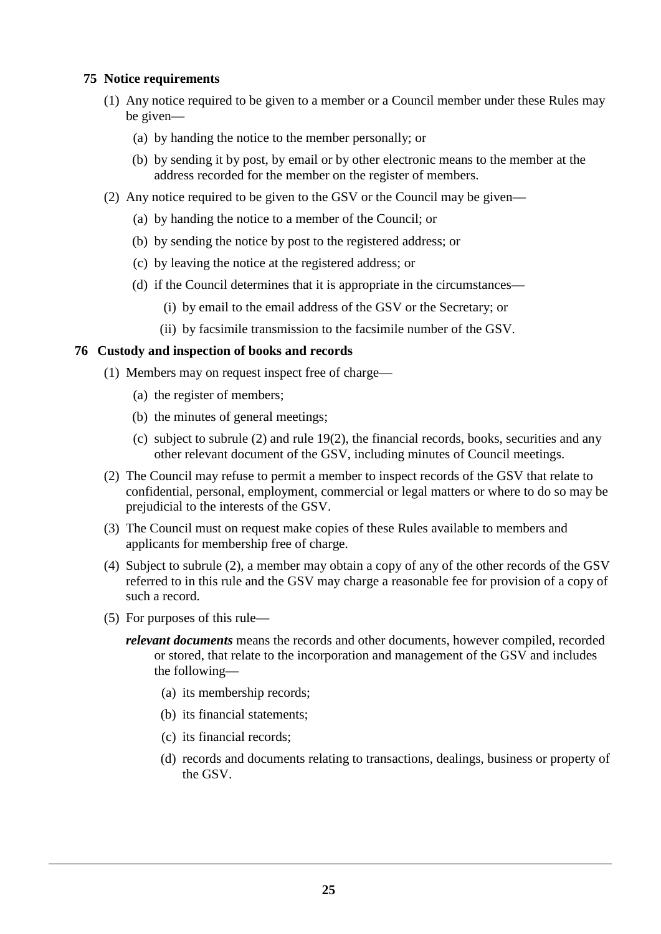# **75 Notice requirements**

- (1) Any notice required to be given to a member or a Council member under these Rules may be given—
	- (a) by handing the notice to the member personally; or
	- (b) by sending it by post, by email or by other electronic means to the member at the address recorded for the member on the register of members.
- (2) Any notice required to be given to the GSV or the Council may be given—
	- (a) by handing the notice to a member of the Council; or
	- (b) by sending the notice by post to the registered address; or
	- (c) by leaving the notice at the registered address; or
	- (d) if the Council determines that it is appropriate in the circumstances—
		- (i) by email to the email address of the GSV or the Secretary; or
		- (ii) by facsimile transmission to the facsimile number of the GSV.

#### **76 Custody and inspection of books and records**

- (1) Members may on request inspect free of charge—
	- (a) the register of members;
	- (b) the minutes of general meetings;
	- (c) subject to subrule (2) and rule 19(2), the financial records, books, securities and any other relevant document of the GSV, including minutes of Council meetings.
- (2) The Council may refuse to permit a member to inspect records of the GSV that relate to confidential, personal, employment, commercial or legal matters or where to do so may be prejudicial to the interests of the GSV.
- (3) The Council must on request make copies of these Rules available to members and applicants for membership free of charge.
- (4) Subject to subrule (2), a member may obtain a copy of any of the other records of the GSV referred to in this rule and the GSV may charge a reasonable fee for provision of a copy of such a record.
- (5) For purposes of this rule
	- *relevant documents* means the records and other documents, however compiled, recorded or stored, that relate to the incorporation and management of the GSV and includes the following—
		- (a) its membership records;
		- (b) its financial statements;
		- (c) its financial records;
		- (d) records and documents relating to transactions, dealings, business or property of the GSV.